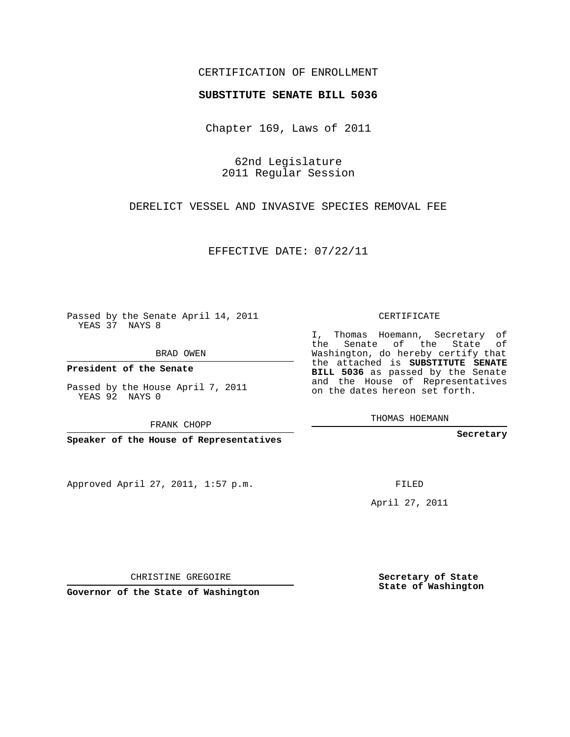## CERTIFICATION OF ENROLLMENT

## **SUBSTITUTE SENATE BILL 5036**

Chapter 169, Laws of 2011

62nd Legislature 2011 Regular Session

DERELICT VESSEL AND INVASIVE SPECIES REMOVAL FEE

EFFECTIVE DATE: 07/22/11

Passed by the Senate April 14, 2011 YEAS 37 NAYS 8

BRAD OWEN

**President of the Senate**

YEAS 92 NAYS 0

Approved April 27, 2011, 1:57 p.m.

CERTIFICATE

I, Thomas Hoemann, Secretary of the Senate of the State of Washington, do hereby certify that the attached is **SUBSTITUTE SENATE BILL 5036** as passed by the Senate and the House of Representatives on the dates hereon set forth.

THOMAS HOEMANN

**Secretary**

FILED

April 27, 2011

**Secretary of State State of Washington**

CHRISTINE GREGOIRE

**Governor of the State of Washington**

Passed by the House April 7, 2011

FRANK CHOPP

**Speaker of the House of Representatives**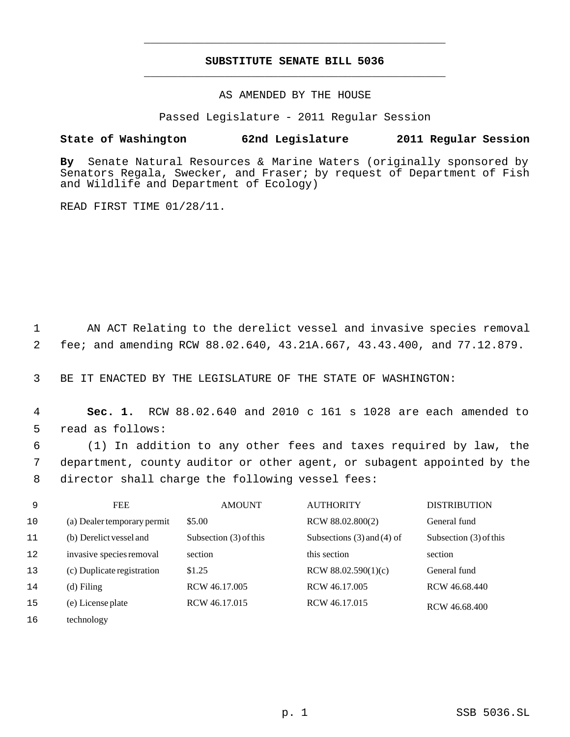## **SUBSTITUTE SENATE BILL 5036** \_\_\_\_\_\_\_\_\_\_\_\_\_\_\_\_\_\_\_\_\_\_\_\_\_\_\_\_\_\_\_\_\_\_\_\_\_\_\_\_\_\_\_\_\_

\_\_\_\_\_\_\_\_\_\_\_\_\_\_\_\_\_\_\_\_\_\_\_\_\_\_\_\_\_\_\_\_\_\_\_\_\_\_\_\_\_\_\_\_\_

AS AMENDED BY THE HOUSE

Passed Legislature - 2011 Regular Session

## **State of Washington 62nd Legislature 2011 Regular Session**

**By** Senate Natural Resources & Marine Waters (originally sponsored by Senators Regala, Swecker, and Fraser; by request of Department of Fish and Wildlife and Department of Ecology)

READ FIRST TIME 01/28/11.

 1 AN ACT Relating to the derelict vessel and invasive species removal 2 fee; and amending RCW 88.02.640, 43.21A.667, 43.43.400, and 77.12.879.

3 BE IT ENACTED BY THE LEGISLATURE OF THE STATE OF WASHINGTON:

 4 **Sec. 1.** RCW 88.02.640 and 2010 c 161 s 1028 are each amended to 5 read as follows:

 6 (1) In addition to any other fees and taxes required by law, the 7 department, county auditor or other agent, or subagent appointed by the 8 director shall charge the following vessel fees:

| 9  | <b>FEE</b>                  | <b>AMOUNT</b>          | <b>AUTHORITY</b>               | <b>DISTRIBUTION</b>    |
|----|-----------------------------|------------------------|--------------------------------|------------------------|
| 10 | (a) Dealer temporary permit | \$5.00                 | RCW 88.02.800(2)               | General fund           |
| 11 | (b) Derelict vessel and     | Subsection (3) of this | Subsections $(3)$ and $(4)$ of | Subsection (3) of this |
| 12 | invasive species removal    | section                | this section                   | section                |
| 13 | (c) Duplicate registration  | \$1.25                 | RCW 88.02.590 $(1)(c)$         | General fund           |
| 14 | $(d)$ Filing                | RCW 46.17.005          | RCW 46.17.005                  | RCW 46.68.440          |
| 15 | (e) License plate           | RCW 46.17.015          | RCW 46.17.015                  | RCW 46.68.400          |
| 16 | technology                  |                        |                                |                        |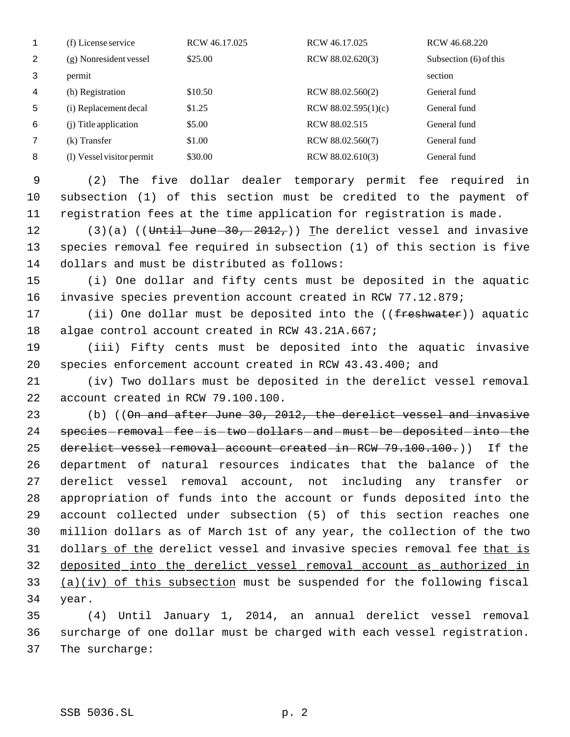|   | (f) License service       | RCW 46.17.025 | RCW 46.17.025          | RCW 46.68.220          |
|---|---------------------------|---------------|------------------------|------------------------|
| 2 | (g) Nonresident vessel    | \$25.00       | RCW 88.02.620(3)       | Subsection (6) of this |
|   | permit                    |               |                        | section                |
| 4 | (h) Registration          | \$10.50       | RCW 88.02.560(2)       | General fund           |
| 5 | (i) Replacement decal     | \$1.25        | RCW 88.02.595 $(1)(c)$ | General fund           |
| 6 | (i) Title application     | \$5.00        | RCW 88.02.515          | General fund           |
|   | $(k)$ Transfer            | \$1.00        | RCW 88.02.560(7)       | General fund           |
| 8 | (1) Vessel visitor permit | \$30.00       | RCW 88.02.610(3)       | General fund           |

 (2) The five dollar dealer temporary permit fee required in subsection (1) of this section must be credited to the payment of registration fees at the time application for registration is made.

12  $(3)(a)$  ((Until June 30, 2012,)) The derelict vessel and invasive species removal fee required in subsection (1) of this section is five dollars and must be distributed as follows:

 (i) One dollar and fifty cents must be deposited in the aquatic invasive species prevention account created in RCW 77.12.879;

17 (ii) One dollar must be deposited into the ((freshwater)) aquatic algae control account created in RCW 43.21A.667;

 (iii) Fifty cents must be deposited into the aquatic invasive species enforcement account created in RCW 43.43.400; and

 (iv) Two dollars must be deposited in the derelict vessel removal account created in RCW 79.100.100.

 (b) ((On and after June 30, 2012, the derelict vessel and invasive 24 species-removal-fee-is-two-dollars-and-must-be-deposited-into-the 25 derelict vessel-removal-account created in RCW 79.100.100.)) If the department of natural resources indicates that the balance of the derelict vessel removal account, not including any transfer or appropriation of funds into the account or funds deposited into the account collected under subsection (5) of this section reaches one million dollars as of March 1st of any year, the collection of the two dollars of the derelict vessel and invasive species removal fee that is deposited into the derelict vessel removal account as authorized in (a)(iv) of this subsection must be suspended for the following fiscal year.

 (4) Until January 1, 2014, an annual derelict vessel removal surcharge of one dollar must be charged with each vessel registration. The surcharge: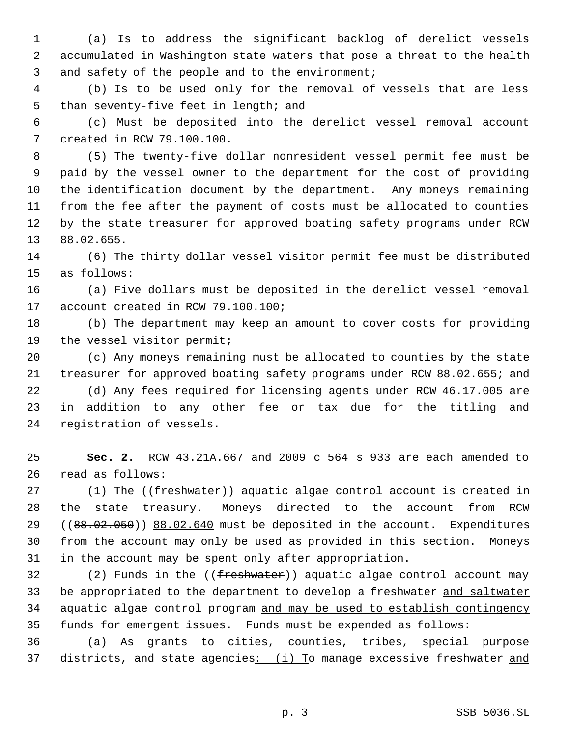(a) Is to address the significant backlog of derelict vessels accumulated in Washington state waters that pose a threat to the health 3 and safety of the people and to the environment;

 (b) Is to be used only for the removal of vessels that are less than seventy-five feet in length; and

 (c) Must be deposited into the derelict vessel removal account created in RCW 79.100.100.

 (5) The twenty-five dollar nonresident vessel permit fee must be paid by the vessel owner to the department for the cost of providing the identification document by the department. Any moneys remaining from the fee after the payment of costs must be allocated to counties by the state treasurer for approved boating safety programs under RCW 88.02.655.

 (6) The thirty dollar vessel visitor permit fee must be distributed as follows:

 (a) Five dollars must be deposited in the derelict vessel removal account created in RCW 79.100.100;

 (b) The department may keep an amount to cover costs for providing the vessel visitor permit;

 (c) Any moneys remaining must be allocated to counties by the state treasurer for approved boating safety programs under RCW 88.02.655; and

 (d) Any fees required for licensing agents under RCW 46.17.005 are in addition to any other fee or tax due for the titling and registration of vessels.

 **Sec. 2.** RCW 43.21A.667 and 2009 c 564 s 933 are each amended to read as follows:

27 (1) The ((freshwater)) aquatic algae control account is created in the state treasury. Moneys directed to the account from RCW 29 ((88.02.050)) 88.02.640 must be deposited in the account. Expenditures from the account may only be used as provided in this section. Moneys in the account may be spent only after appropriation.

32 (2) Funds in the  $((\text{freshwater}))$  aquatic algae control account may 33 be appropriated to the department to develop a freshwater and saltwater aquatic algae control program and may be used to establish contingency funds for emergent issues. Funds must be expended as follows:

 (a) As grants to cities, counties, tribes, special purpose 37 districts, and state agencies: (i) To manage excessive freshwater and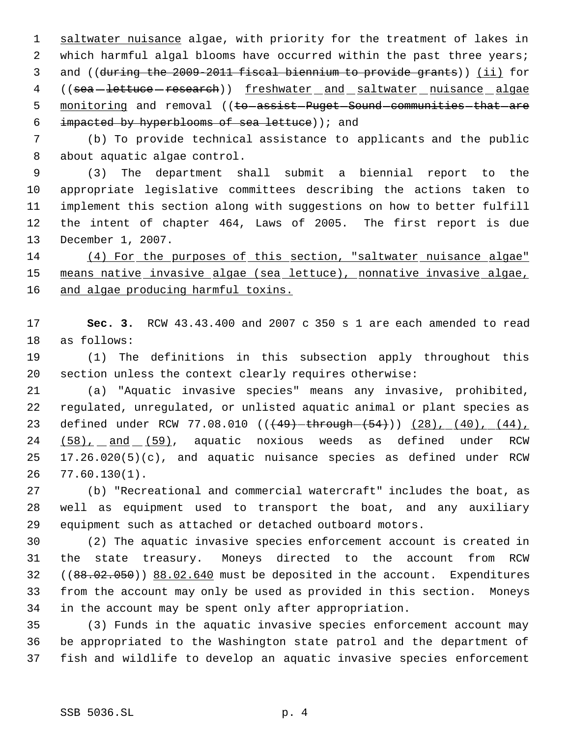1 saltwater nuisance algae, with priority for the treatment of lakes in 2 which harmful algal blooms have occurred within the past three years; and ((during the 2009-2011 fiscal biennium to provide grants)) (ii) for 4 ((sea-lettuce - research)) freshwater and saltwater nuisance algae 5 monitoring and removal ((to assist Puget Sound communities that are impacted by hyperblooms of sea lettuce)); and

 (b) To provide technical assistance to applicants and the public about aquatic algae control.

 (3) The department shall submit a biennial report to the appropriate legislative committees describing the actions taken to implement this section along with suggestions on how to better fulfill the intent of chapter 464, Laws of 2005. The first report is due December 1, 2007.

 (4) For the purposes of this section, "saltwater nuisance algae" means native invasive algae (sea lettuce), nonnative invasive algae, 16 and algae producing harmful toxins.

 **Sec. 3.** RCW 43.43.400 and 2007 c 350 s 1 are each amended to read as follows:

 (1) The definitions in this subsection apply throughout this section unless the context clearly requires otherwise:

 (a) "Aquatic invasive species" means any invasive, prohibited, regulated, unregulated, or unlisted aquatic animal or plant species as 23 defined under RCW 77.08.010 ((<del>(49) through (54)</del>)) (28), (40), (44), (58), and (59), aquatic noxious weeds as defined under RCW 17.26.020(5)(c), and aquatic nuisance species as defined under RCW 77.60.130(1).

 (b) "Recreational and commercial watercraft" includes the boat, as well as equipment used to transport the boat, and any auxiliary equipment such as attached or detached outboard motors.

 (2) The aquatic invasive species enforcement account is created in the state treasury. Moneys directed to the account from RCW 32 ((88.02.050)) 88.02.640 must be deposited in the account. Expenditures from the account may only be used as provided in this section. Moneys in the account may be spent only after appropriation.

 (3) Funds in the aquatic invasive species enforcement account may be appropriated to the Washington state patrol and the department of fish and wildlife to develop an aquatic invasive species enforcement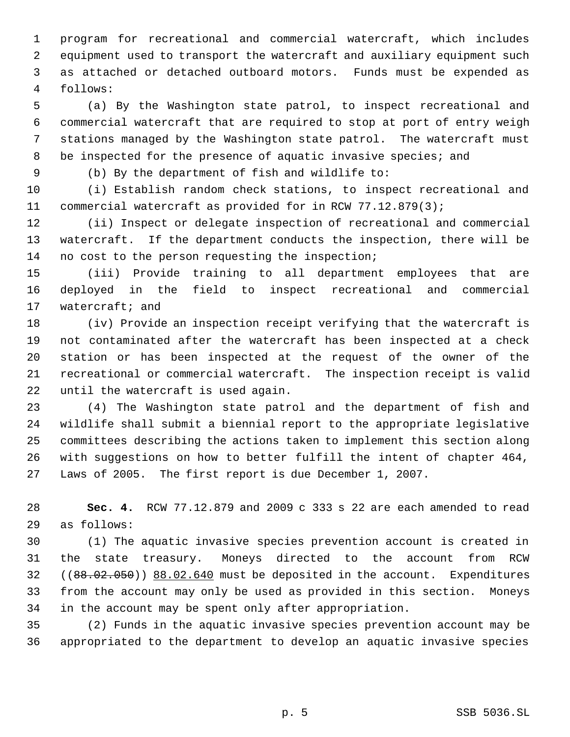program for recreational and commercial watercraft, which includes equipment used to transport the watercraft and auxiliary equipment such as attached or detached outboard motors. Funds must be expended as follows:

 (a) By the Washington state patrol, to inspect recreational and commercial watercraft that are required to stop at port of entry weigh stations managed by the Washington state patrol. The watercraft must 8 be inspected for the presence of aquatic invasive species; and

(b) By the department of fish and wildlife to:

 (i) Establish random check stations, to inspect recreational and commercial watercraft as provided for in RCW 77.12.879(3);

 (ii) Inspect or delegate inspection of recreational and commercial watercraft. If the department conducts the inspection, there will be no cost to the person requesting the inspection;

 (iii) Provide training to all department employees that are deployed in the field to inspect recreational and commercial watercraft; and

 (iv) Provide an inspection receipt verifying that the watercraft is not contaminated after the watercraft has been inspected at a check station or has been inspected at the request of the owner of the recreational or commercial watercraft. The inspection receipt is valid until the watercraft is used again.

 (4) The Washington state patrol and the department of fish and wildlife shall submit a biennial report to the appropriate legislative committees describing the actions taken to implement this section along with suggestions on how to better fulfill the intent of chapter 464, Laws of 2005. The first report is due December 1, 2007.

 **Sec. 4.** RCW 77.12.879 and 2009 c 333 s 22 are each amended to read as follows:

 (1) The aquatic invasive species prevention account is created in the state treasury. Moneys directed to the account from RCW 32 ((88.02.050)) 88.02.640 must be deposited in the account. Expenditures from the account may only be used as provided in this section. Moneys in the account may be spent only after appropriation.

 (2) Funds in the aquatic invasive species prevention account may be appropriated to the department to develop an aquatic invasive species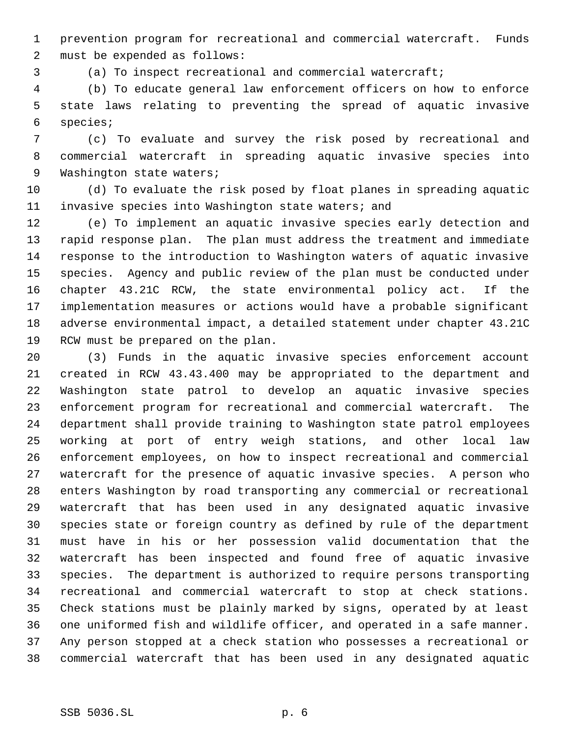prevention program for recreational and commercial watercraft. Funds must be expended as follows:

(a) To inspect recreational and commercial watercraft;

 (b) To educate general law enforcement officers on how to enforce state laws relating to preventing the spread of aquatic invasive species;

 (c) To evaluate and survey the risk posed by recreational and commercial watercraft in spreading aquatic invasive species into 9 Washington state waters;

 (d) To evaluate the risk posed by float planes in spreading aquatic invasive species into Washington state waters; and

 (e) To implement an aquatic invasive species early detection and rapid response plan. The plan must address the treatment and immediate response to the introduction to Washington waters of aquatic invasive species. Agency and public review of the plan must be conducted under chapter 43.21C RCW, the state environmental policy act. If the implementation measures or actions would have a probable significant adverse environmental impact, a detailed statement under chapter 43.21C RCW must be prepared on the plan.

 (3) Funds in the aquatic invasive species enforcement account created in RCW 43.43.400 may be appropriated to the department and Washington state patrol to develop an aquatic invasive species enforcement program for recreational and commercial watercraft. The department shall provide training to Washington state patrol employees working at port of entry weigh stations, and other local law enforcement employees, on how to inspect recreational and commercial watercraft for the presence of aquatic invasive species. A person who enters Washington by road transporting any commercial or recreational watercraft that has been used in any designated aquatic invasive species state or foreign country as defined by rule of the department must have in his or her possession valid documentation that the watercraft has been inspected and found free of aquatic invasive species. The department is authorized to require persons transporting recreational and commercial watercraft to stop at check stations. Check stations must be plainly marked by signs, operated by at least one uniformed fish and wildlife officer, and operated in a safe manner. Any person stopped at a check station who possesses a recreational or commercial watercraft that has been used in any designated aquatic